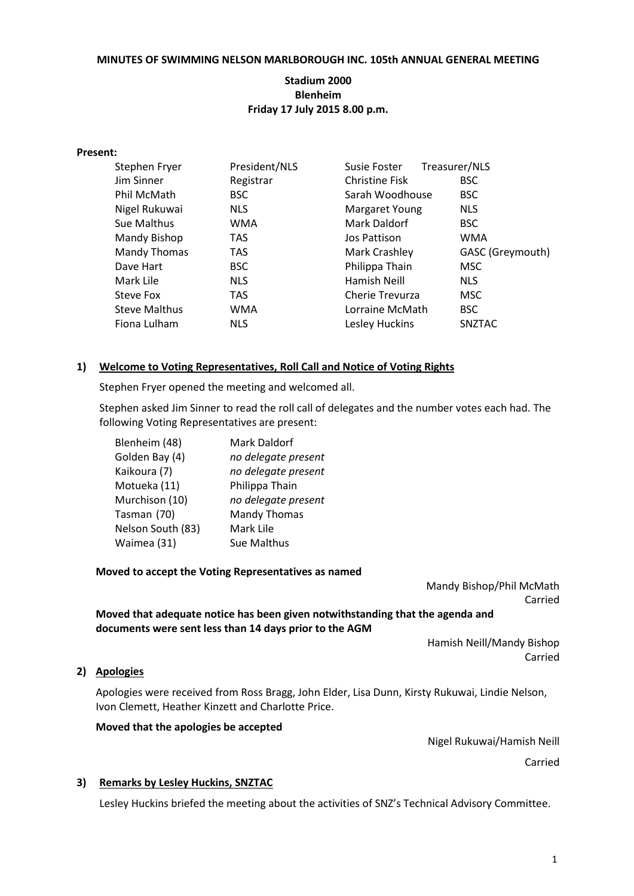#### **MINUTES OF SWIMMING NELSON MARLBOROUGH INC. 105th ANNUAL GENERAL MEETING**

## **Stadium 2000 Blenheim Friday 17 July 2015 8.00 p.m.**

#### **Present:**

| Stephen Fryer        | President/NLS | Treasurer/NLS<br>Susie Foster |                  |
|----------------------|---------------|-------------------------------|------------------|
| Jim Sinner           | Registrar     | <b>Christine Fisk</b>         | <b>BSC</b>       |
| Phil McMath          | <b>BSC</b>    | Sarah Woodhouse               | <b>BSC</b>       |
| Nigel Rukuwai        | <b>NLS</b>    | Margaret Young                | <b>NLS</b>       |
| Sue Malthus          | WMA           | Mark Daldorf                  | <b>BSC</b>       |
| Mandy Bishop         | <b>TAS</b>    | Jos Pattison                  | <b>WMA</b>       |
| Mandy Thomas         | <b>TAS</b>    | Mark Crashley                 | GASC (Greymouth) |
| Dave Hart            | <b>BSC</b>    | Philippa Thain                | MSC              |
| Mark Lile            | <b>NLS</b>    | Hamish Neill                  | <b>NLS</b>       |
| Steve Fox            | TAS           | Cherie Trevurza               | <b>MSC</b>       |
| <b>Steve Malthus</b> | <b>WMA</b>    | Lorraine McMath               | <b>BSC</b>       |
| Fiona Lulham         | <b>NLS</b>    | Lesley Huckins                | SNZTAC           |

#### **1) Welcome to Voting Representatives, Roll Call and Notice of Voting Rights**

Stephen Fryer opened the meeting and welcomed all.

Stephen asked Jim Sinner to read the roll call of delegates and the number votes each had. The following Voting Representatives are present:

| Blenheim (48)     | Mark Daldorf        |
|-------------------|---------------------|
| Golden Bay (4)    | no delegate present |
| Kaikoura (7)      | no delegate present |
| Motueka (11)      | Philippa Thain      |
| Murchison (10)    | no delegate present |
| Tasman (70)       | <b>Mandy Thomas</b> |
| Nelson South (83) | Mark Lile           |
| Waimea (31)       | Sue Malthus         |

**Moved to accept the Voting Representatives as named**

Mandy Bishop/Phil McMath Carried

**Moved that adequate notice has been given notwithstanding that the agenda and documents were sent less than 14 days prior to the AGM**

> Hamish Neill/Mandy Bishop Carried

# **2) Apologies**

Apologies were received from Ross Bragg, John Elder, Lisa Dunn, Kirsty Rukuwai, Lindie Nelson, Ivon Clemett, Heather Kinzett and Charlotte Price.

# **Moved that the apologies be accepted**

Nigel Rukuwai/Hamish Neill

Carried

#### **3) Remarks by Lesley Huckins, SNZTAC**

Lesley Huckins briefed the meeting about the activities of SNZ's Technical Advisory Committee.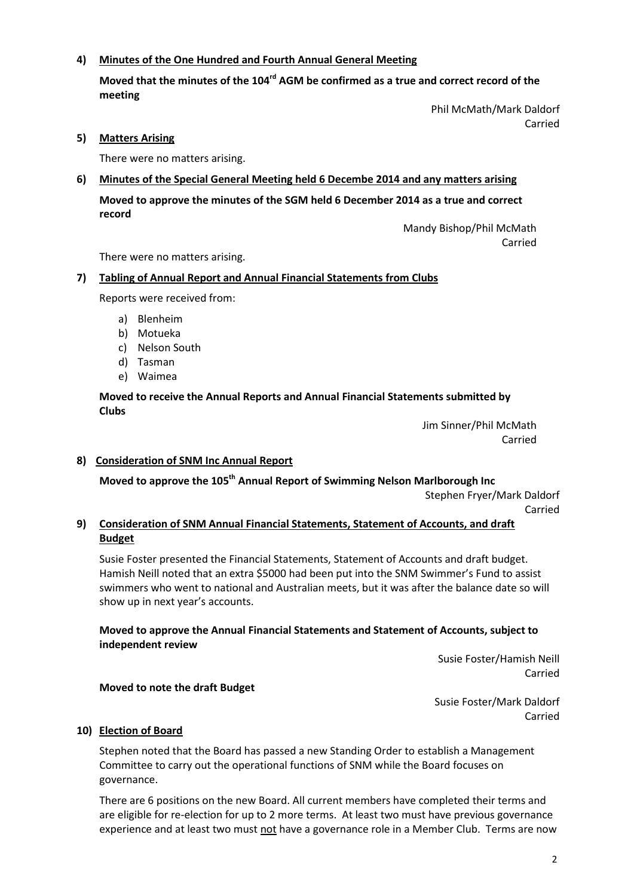# **4) Minutes of the One Hundred and Fourth Annual General Meeting**

Moved that the minutes of the 104<sup>rd</sup> AGM be confirmed as a true and correct record of the **meeting**

> Phil McMath/Mark Daldorf Carried

**5) Matters Arising** 

There were no matters arising.

## **6) Minutes of the Special General Meeting held 6 Decembe 2014 and any matters arising**

**Moved to approve the minutes of the SGM held 6 December 2014 as a true and correct record**

> Mandy Bishop/Phil McMath Carried

There were no matters arising.

## **7) Tabling of Annual Report and Annual Financial Statements from Clubs**

Reports were received from:

- a) Blenheim
- b) Motueka
- c) Nelson South
- d) Tasman
- e) Waimea

## **Moved to receive the Annual Reports and Annual Financial Statements submitted by Clubs**

Jim Sinner/Phil McMath Carried

**8) Consideration of SNM Inc Annual Report** 

**Moved to approve the 105th Annual Report of Swimming Nelson Marlborough Inc** Stephen Fryer/Mark Daldorf

Carried

# **9) Consideration of SNM Annual Financial Statements, Statement of Accounts, and draft Budget**

Susie Foster presented the Financial Statements, Statement of Accounts and draft budget. Hamish Neill noted that an extra \$5000 had been put into the SNM Swimmer's Fund to assist swimmers who went to national and Australian meets, but it was after the balance date so will show up in next year's accounts.

## **Moved to approve the Annual Financial Statements and Statement of Accounts, subject to independent review**

Susie Foster/Hamish Neill Carried

## **Moved to note the draft Budget**

Susie Foster/Mark Daldorf Carried

## **10) Election of Board**

Stephen noted that the Board has passed a new Standing Order to establish a Management Committee to carry out the operational functions of SNM while the Board focuses on governance.

There are 6 positions on the new Board. All current members have completed their terms and are eligible for re-election for up to 2 more terms. At least two must have previous governance experience and at least two must not have a governance role in a Member Club. Terms are now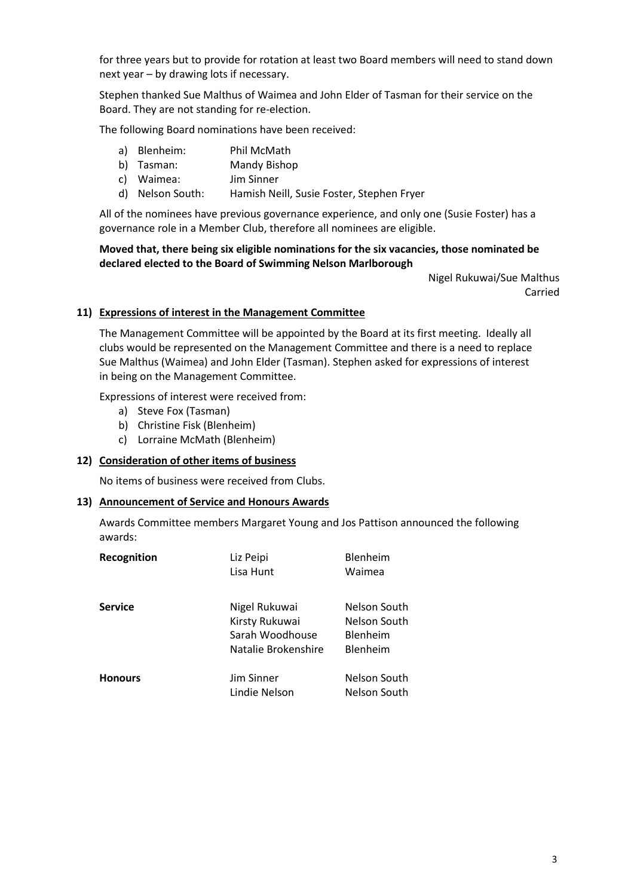for three years but to provide for rotation at least two Board members will need to stand down next year – by drawing lots if necessary.

Stephen thanked Sue Malthus of Waimea and John Elder of Tasman for their service on the Board. They are not standing for re-election.

The following Board nominations have been received:

- a) Blenheim: Phil McMath
- b) Tasman: Mandy Bishop
- c) Waimea: Jim Sinner
- d) Nelson South: Hamish Neill, Susie Foster, Stephen Fryer

All of the nominees have previous governance experience, and only one (Susie Foster) has a governance role in a Member Club, therefore all nominees are eligible.

## **Moved that, there being six eligible nominations for the six vacancies, those nominated be declared elected to the Board of Swimming Nelson Marlborough**

Nigel Rukuwai/Sue Malthus Carried

## **11) Expressions of interest in the Management Committee**

The Management Committee will be appointed by the Board at its first meeting. Ideally all clubs would be represented on the Management Committee and there is a need to replace Sue Malthus (Waimea) and John Elder (Tasman). Stephen asked for expressions of interest in being on the Management Committee.

Expressions of interest were received from:

- a) Steve Fox (Tasman)
- b) Christine Fisk (Blenheim)
- c) Lorraine McMath (Blenheim)

#### **12) Consideration of other items of business**

No items of business were received from Clubs.

#### **13) Announcement of Service and Honours Awards**

Awards Committee members Margaret Young and Jos Pattison announced the following awards:

| Recognition    | Liz Peipi<br>Lisa Hunt                                                    | Blenheim<br>Waimea                                   |
|----------------|---------------------------------------------------------------------------|------------------------------------------------------|
| <b>Service</b> | Nigel Rukuwai<br>Kirsty Rukuwai<br>Sarah Woodhouse<br>Natalie Brokenshire | Nelson South<br>Nelson South<br>Blenheim<br>Blenheim |
| <b>Honours</b> | Jim Sinner<br>Lindie Nelson                                               | Nelson South<br>Nelson South                         |